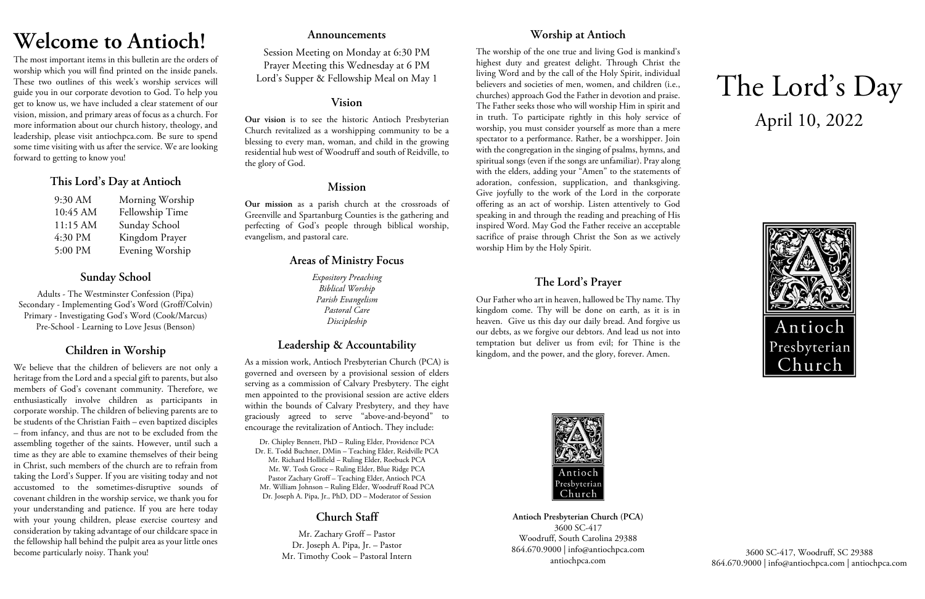# **Welcome to Antioch!**

The most important items in this bulletin are the orders of worship which you will find printed on the inside panels. These two outlines of this week's worship services will guide you in our corporate devotion to God. To help you get to know us, we have included a clear statement of our vision, mission, and primary areas of focus as a church. For more information about our church history, theology, and leadership, please visit antiochpca.com. Be sure to spend some time visiting with us after the service. We are looking forward to getting to know you!

## **This Lord's Day at Antioch**

| 9:30 AM  | Morning Worship |
|----------|-----------------|
| 10:45 AM | Fellowship Time |
| 11:15 AM | Sunday School   |
| 4:30 PM  | Kingdom Prayer  |
| 5:00 PM  | Evening Worship |

## **Sunday School**

Adults - The Westminster Confession (Pipa) Secondary - Implementing God's Word (Groff/Colvin) Primary - Investigating God's Word (Cook/Marcus) Pre-School - Learning to Love Jesus (Benson)

## **Children in Worship**

We believe that the children of believers are not only a heritage from the Lord and a special gift to parents, but also members of God's covenant community. Therefore, we enthusiastically involve children as participants in corporate worship. The children of believing parents are to be students of the Christian Faith – even baptized disciples – from infancy, and thus are not to be excluded from the assembling together of the saints. However, until such a time as they are able to examine themselves of their being in Christ, such members of the church are to refrain from taking the Lord's Supper. If you are visiting today and not accustomed to the sometimes-disruptive sounds of covenant children in the worship service, we thank you for your understanding and patience. If you are here today with your young children, please exercise courtesy and consideration by taking advantage of our childcare space in the fellowship hall behind the pulpit area as your little ones become particularly noisy. Thank you!

## **Announcements**

Session Meeting on Monday at 6:30 PM Prayer Meeting this Wednesday at 6 PM Lord's Supper & Fellowship Meal on May 1

## **Vision**

**Our vision** is to see the historic Antioch Presbyterian Church revitalized as a worshipping community to be a blessing to every man, woman, and child in the growing residential hub west of Woodruff and south of Reidville, to the glory of God.

## **Mission**

**Our mission** as a parish church at the crossroads of Greenville and Spartanburg Counties is the gathering and perfecting of God's people through biblical worship, evangelism, and pastoral care.

## **Areas of Ministry Focus**

*Expository Preaching Biblical Worship Parish Evangelism Pastoral Care Discipleship*

## **Leadership & Accountability**

As a mission work, Antioch Presbyterian Church (PCA) is governed and overseen by a provisional session of elders serving as a commission of Calvary Presbytery. The eight men appointed to the provisional session are active elders within the bounds of Calvary Presbytery, and they have graciously agreed to serve "above-and-beyond" to encourage the revitalization of Antioch. They include:

Dr. Chipley Bennett, PhD – Ruling Elder, Providence PCA Dr. E. Todd Buchner, DMin – Teaching Elder, Reidville PCA Mr. Richard Hollifield – Ruling Elder, Roebuck PCA Mr. W. Tosh Groce – Ruling Elder, Blue Ridge PCA Pastor Zachary Groff – Teaching Elder, Antioch PCA Mr. William Johnson – Ruling Elder, Woodruff Road PCA Dr. Joseph A. Pipa, Jr., PhD, DD – Moderator of Session

## **Church Staff**

Mr. Zachary Groff – Pastor Dr. Joseph A. Pipa, Jr. – Pastor Mr. Timothy Cook – Pastoral Intern

## **Worship at Antioch**

The worship of the one true and living God is mankind's highest duty and greatest delight. Through Christ the living Word and by the call of the Holy Spirit, individual believers and societies of men, women, and children (i.e., churches) approach God the Father in devotion and praise. The Father seeks those who will worship Him in spirit and in truth. To participate rightly in this holy service of worship, you must consider yourself as more than a mere spectator to a performance. Rather, be a worshipper. Join with the congregation in the singing of psalms, hymns, and spiritual songs (even if the songs are unfamiliar). Pray along with the elders, adding your "Amen" to the statements of adoration, confession, supplication, and thanksgiving. Give joyfully to the work of the Lord in the corporate offering as an act of worship. Listen attentively to God speaking in and through the reading and preaching of His inspired Word. May God the Father receive an acceptable sacrifice of praise through Christ the Son as we actively worship Him by the Holy Spirit.

## **The Lord's Prayer**

Our Father who art in heaven, hallowed be Thy name. Thy kingdom come. Thy will be done on earth, as it is in heaven. Give us this day our daily bread. And forgive us our debts, as we forgive our debtors. And lead us not into temptation but deliver us from evil; for Thine is the kingdom, and the power, and the glory, forever. Amen.



**Antioch Presbyterian Church (PCA)** 3600 SC-417 Woodruff, South Carolina 29388 864.670.9000 | info@antiochpca.com antiochpca.com

# The Lord's Day April 10, 2022



3600 SC-417, Woodruff, SC 29388 864.670.9000 | info@antiochpca.com | antiochpca.com